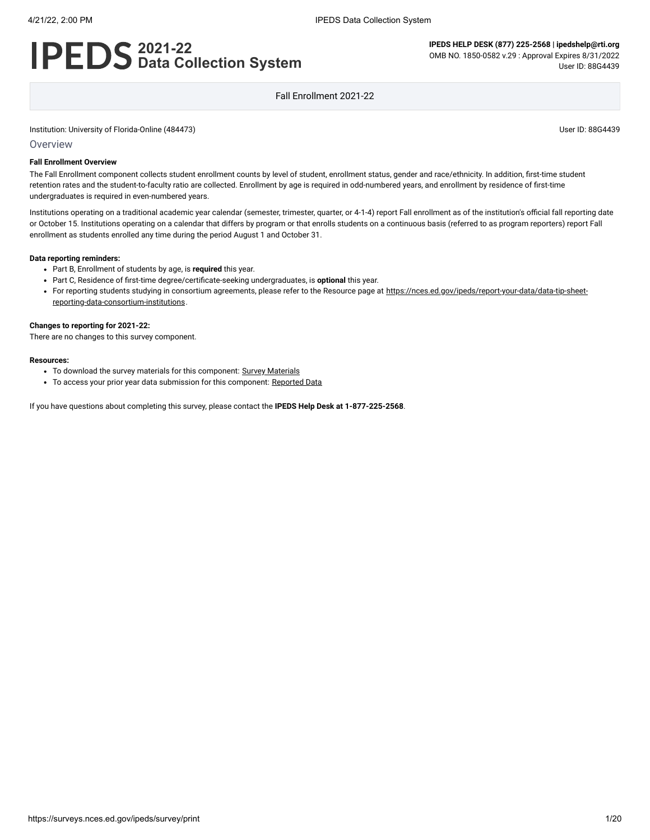# **2021-22 Data Collection System**

**IPEDS HELP DESK (877) 225-2568 | ipedshelp@rti.org** OMB NO. 1850-0582 v.29 : Approval Expires 8/31/2022 User ID: 88G4439

Fall Enrollment 2021-22

Institution: University of Florida-Online (484473) User ID: 88G4439

#### **Overview**

#### **Fall Enrollment Overview**

The Fall Enrollment component collects student enrollment counts by level of student, enrollment status, gender and race/ethnicity. In addition, first-time student retention rates and the student-to-faculty ratio are collected. Enrollment by age is required in odd-numbered years, and enrollment by residence of first-time undergraduates is required in even-numbered years.

Institutions operating on a traditional academic year calendar (semester, trimester, quarter, or 4-1-4) report Fall enrollment as of the institution's official fall reporting date or October 15. Institutions operating on a calendar that differs by program or that enrolls students on a continuous basis (referred to as program reporters) report Fall enrollment as students enrolled any time during the period August 1 and October 31.

#### **Data reporting reminders:**

- Part B, Enrollment of students by age, is **required** this year.
- Part C, Residence of first-time degree/certificate-seeking undergraduates, is **optional** this year.
- For reporting students studying in consortium agreements, please refer to the Resource page at [https://nces.ed.gov/ipeds/report-your-data/data-tip-sheet](https://nces.ed.gov/ipeds/report-your-data/data-tip-sheet-reporting-data-consortium-institutions)reporting-data-consortium-institutions.

#### **Changes to reporting for 2021-22:**

There are no changes to this survey component.

#### **Resources:**

- To download the survey materials for this component: Survey [Materials](https://surveys.nces.ed.gov/ipeds/public/survey-materials/index)
- To access your prior year data submission for this component: [Reported Data](javascript:openReportedData(484473, 6))

If you have questions about completing this survey, please contact the **IPEDS Help Desk at 1-877-225-2568**.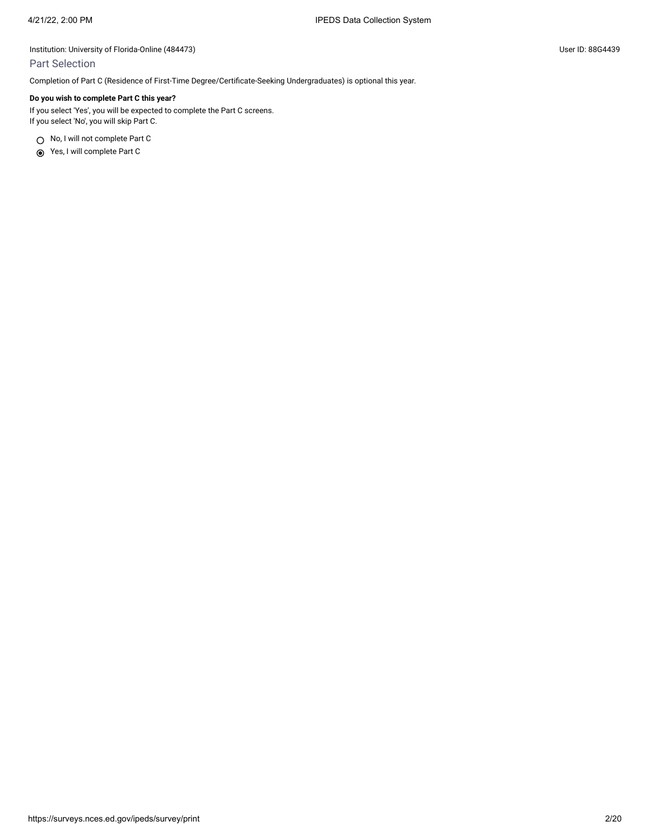### Part Selection

Completion of Part C (Residence of First-Time Degree/Certificate-Seeking Undergraduates) is optional this year.

### **Do you wish to complete Part C this year?**

If you select 'Yes', you will be expected to complete the Part C screens. If you select 'No', you will skip Part C.

○ No, I will not complete Part C

Yes, I will complete Part C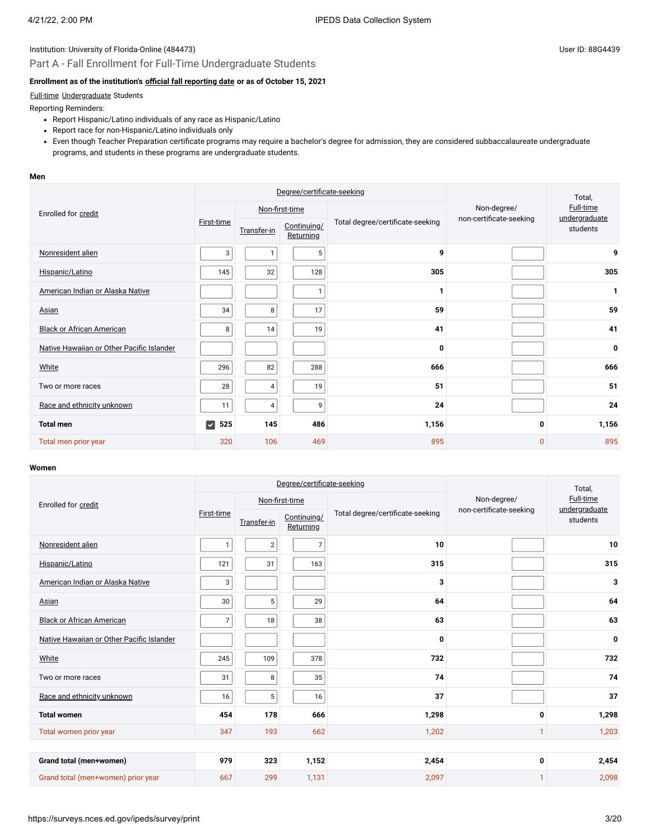# Part A - Fall Enrollment for Full-Time Undergraduate Students

# **Enrollment as of the institution's [official fall reporting date](javascript:openglossary(431)) or as of October 15, 2021**

### [Full-time](javascript:openglossary(259)) [Undergraduate](javascript:openglossary(677)) Students

Reporting Reminders:

- Report Hispanic/Latino individuals of any race as Hispanic/Latino
- Report race for non-Hispanic/Latino individuals only
- Even though Teacher Preparation certificate programs may require a bachelor's degree for admission, they are considered subbaccalaureate undergraduate programs, and students in these programs are undergraduate students.

#### **Men**

|                                           |                           | Degree/certificate-seeking                                                  |                |                           |                                        | Total,    |
|-------------------------------------------|---------------------------|-----------------------------------------------------------------------------|----------------|---------------------------|----------------------------------------|-----------|
| Enrolled for credit                       |                           |                                                                             | Non-first-time |                           | Non-degree/<br>non-certificate-seeking | Full-time |
|                                           | First-time                | Total degree/certificate-seeking<br>Continuing/<br>Transfer-in<br>Returning |                | undergraduate<br>students |                                        |           |
| Nonresident alien                         | 3                         | $\mathbf{1}$                                                                | 5              | 9                         |                                        | 9         |
| Hispanic/Latino                           | 145                       | 32                                                                          | 128            | 305                       |                                        | 305       |
| American Indian or Alaska Native          |                           |                                                                             | $\mathbf{1}$   | 1                         |                                        | 1         |
| Asian                                     | 34                        | 8                                                                           | 17             | 59                        |                                        | 59        |
| <b>Black or African American</b>          | 8                         | 14                                                                          | 19             | 41                        |                                        | 41        |
| Native Hawaiian or Other Pacific Islander |                           |                                                                             |                | 0                         |                                        | 0         |
| White                                     | 296                       | 82                                                                          | 288            | 666                       |                                        | 666       |
| Two or more races                         | 28                        | 4                                                                           | 19             | 51                        |                                        | 51        |
| Race and ethnicity unknown                | 11                        | $\overline{4}$                                                              | 9              | 24                        |                                        | 24        |
| <b>Total men</b>                          | $\vert \checkmark$<br>525 | 145                                                                         | 486            | 1,156                     | 0                                      | 1,156     |
| Total men prior year                      | 320                       | 106                                                                         | 469            | 895                       | $\Omega$                               | 895       |

#### **Women**

|                                           | Degree/certificate-seeking |                 |                          |                                  |                         | Total,                                 |  |
|-------------------------------------------|----------------------------|-----------------|--------------------------|----------------------------------|-------------------------|----------------------------------------|--|
| Enrolled for credit                       |                            |                 | Non-first-time           |                                  | Non-degree/             | Full-time<br>undergraduate<br>students |  |
|                                           | First-time                 | Transfer-in     | Continuing/<br>Returning | Total degree/certificate-seeking | non-certificate-seeking |                                        |  |
| Nonresident alien                         | 1                          | $\overline{2}$  | $\overline{7}$           | 10                               |                         | 10                                     |  |
| Hispanic/Latino                           | 121                        | 31              | 163                      | 315                              |                         | 315                                    |  |
| American Indian or Alaska Native          | 3                          |                 |                          | 3                                |                         | 3                                      |  |
| Asian                                     | 30                         | 5               | 29                       | 64                               |                         | 64                                     |  |
| <b>Black or African American</b>          | 7                          | 18              | 38                       | 63                               |                         | 63                                     |  |
| Native Hawaiian or Other Pacific Islander |                            |                 |                          | 0                                |                         | 0                                      |  |
| White                                     | 245                        | 109             | 378                      | 732                              |                         | 732                                    |  |
| Two or more races                         | 31                         | 8               | 35                       | 74                               |                         | 74                                     |  |
| Race and ethnicity unknown                | 16                         | $5\phantom{.0}$ | 16                       | 37                               |                         | 37                                     |  |
| <b>Total women</b>                        | 454                        | 178             | 666                      | 1,298                            | $\mathbf{0}$            | 1,298                                  |  |
| Total women prior year                    | 347                        | 193             | 662                      | 1,202                            | 1                       | 1,203                                  |  |
|                                           |                            |                 |                          |                                  |                         |                                        |  |
| Grand total (men+women)                   | 979                        | 323             | 1,152                    | 2,454                            | 0                       | 2,454                                  |  |
| Grand total (men+women) prior year        | 667                        | 299             | 1,131                    | 2,097                            |                         | 2,098                                  |  |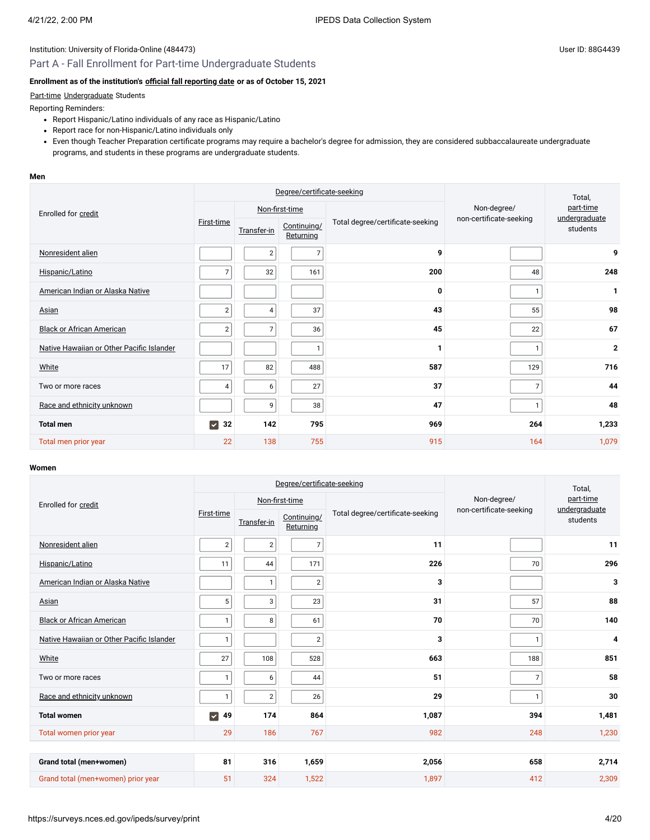# Part A - Fall Enrollment for Part-time Undergraduate Students

# **Enrollment as of the institution's [official fall reporting date](javascript:openglossary(431)) or as of October 15, 2021**

### [Part-time](javascript:openglossary(469)) [Undergraduate](javascript:openglossary(677)) Students

Reporting Reminders:

- Report Hispanic/Latino individuals of any race as Hispanic/Latino
- Report race for non-Hispanic/Latino individuals only
- Even though Teacher Preparation certificate programs may require a bachelor's degree for admission, they are considered subbaccalaureate undergraduate programs, and students in these programs are undergraduate students.

#### **Men**

|                                           |                             | Degree/certificate-seeking |                          |                                  | Total,                  |                                        |
|-------------------------------------------|-----------------------------|----------------------------|--------------------------|----------------------------------|-------------------------|----------------------------------------|
| Enrolled for credit                       |                             |                            | Non-first-time           | Total degree/certificate-seeking | Non-degree/             | part-time<br>undergraduate<br>students |
|                                           | First-time                  | Transfer-in                | Continuing/<br>Returning |                                  | non-certificate-seeking |                                        |
| Nonresident alien                         |                             | $\overline{2}$             | $\overline{7}$           | 9                                |                         | 9                                      |
| Hispanic/Latino                           | 7                           | 32                         | 161                      | 200                              | 48                      | 248                                    |
| American Indian or Alaska Native          |                             |                            |                          | 0                                | $\mathbf{1}$            | 1                                      |
| Asian                                     | $\overline{2}$              | $\overline{4}$             | 37                       | 43                               | 55                      | 98                                     |
| <b>Black or African American</b>          | $\overline{2}$              | $\overline{7}$             | 36                       | 45                               | 22                      | 67                                     |
| Native Hawaiian or Other Pacific Islander |                             |                            |                          | 1                                | $\mathbf{1}$            | $\mathbf 2$                            |
| White                                     | 17                          | 82                         | 488                      | 587                              | 129                     | 716                                    |
| Two or more races                         | 4                           | 6                          | 27                       | 37                               | $\overline{7}$          | 44                                     |
| Race and ethnicity unknown                |                             | 9                          | 38                       | 47                               | $\mathbf{1}$            | 48                                     |
| <b>Total men</b>                          | $\blacktriangleright$<br>32 | 142                        | 795                      | 969                              | 264                     | 1,233                                  |
| Total men prior year                      | 22                          | 138                        | 755                      | 915                              | 164                     | 1,079                                  |

#### **Women**

|                                           | Degree/certificate-seeking  |              |                          |                                  |                         | Total,                                 |  |
|-------------------------------------------|-----------------------------|--------------|--------------------------|----------------------------------|-------------------------|----------------------------------------|--|
| Enrolled for credit                       |                             |              | Non-first-time           |                                  | Non-degree/             | part-time<br>undergraduate<br>students |  |
|                                           | First-time                  | Transfer-in  | Continuing/<br>Returning | Total degree/certificate-seeking | non-certificate-seeking |                                        |  |
| Nonresident alien                         | $\overline{2}$              | $\sqrt{2}$   | $\overline{7}$           | 11                               |                         | 11                                     |  |
| Hispanic/Latino                           | 11                          | 44           | 171                      | 226                              | 70                      | 296                                    |  |
| American Indian or Alaska Native          |                             | $\mathbf{1}$ | $\sqrt{2}$               | 3                                |                         | 3                                      |  |
| Asian                                     | 5                           | 3            | 23                       | 31                               | 57                      | 88                                     |  |
| <b>Black or African American</b>          | $\mathbf{1}$                | 8            | 61                       | 70                               | 70                      | 140                                    |  |
| Native Hawaiian or Other Pacific Islander |                             |              | $\sqrt{2}$               | 3                                | $\mathbf{1}$            | 4                                      |  |
| White                                     | 27                          | 108          | 528                      | 663                              | 188                     | 851                                    |  |
| Two or more races                         | $\mathbf{1}$                | 6            | 44                       | 51                               | $\overline{7}$          | 58                                     |  |
| Race and ethnicity unknown                |                             | $\sqrt{2}$   | 26                       | 29                               | $\mathbf{1}$            | 30                                     |  |
| <b>Total women</b>                        | $\blacktriangleright$<br>49 | 174          | 864                      | 1,087                            | 394                     | 1,481                                  |  |
| Total women prior year                    | 29                          | 186          | 767                      | 982                              | 248                     | 1,230                                  |  |
|                                           |                             |              |                          |                                  |                         |                                        |  |
| Grand total (men+women)                   | 81                          | 316          | 1,659                    | 2,056                            | 658                     | 2,714                                  |  |
| Grand total (men+women) prior year        | 51                          | 324          | 1,522                    | 1,897                            | 412                     | 2,309                                  |  |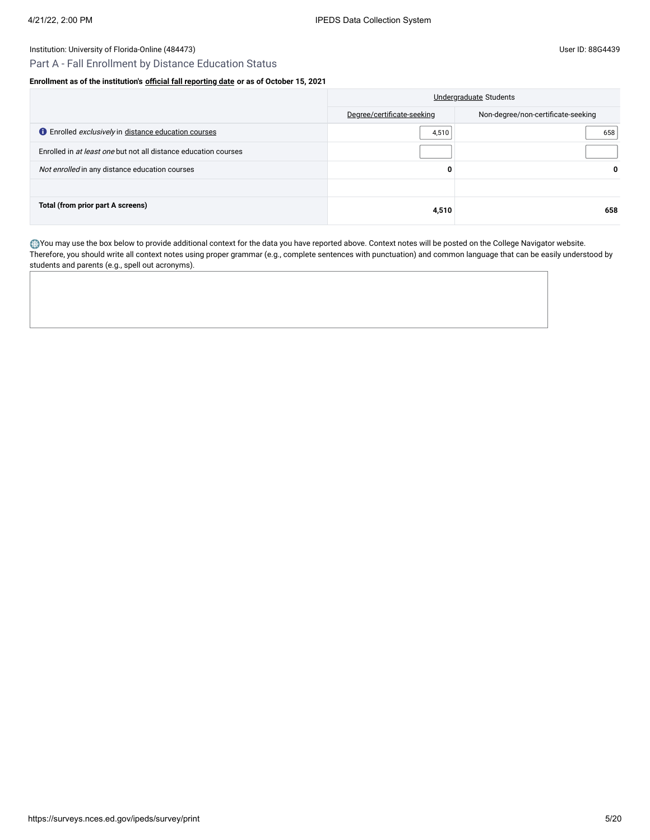# Part A - Fall Enrollment by Distance Education Status

### **Enrollment as of the institution's [official fall reporting date](javascript:openglossary(431)) or as of October 15, 2021**

|                                                                 | <b>Undergraduate Students</b> |                                    |  |
|-----------------------------------------------------------------|-------------------------------|------------------------------------|--|
|                                                                 | Degree/certificate-seeking    | Non-degree/non-certificate-seeking |  |
| <b>O</b> Enrolled exclusively in distance education courses     | 4,510                         | 658                                |  |
| Enrolled in at least one but not all distance education courses |                               |                                    |  |
| Not enrolled in any distance education courses                  | 0                             | 0                                  |  |
|                                                                 |                               |                                    |  |
| Total (from prior part A screens)                               | 4,510                         | 658                                |  |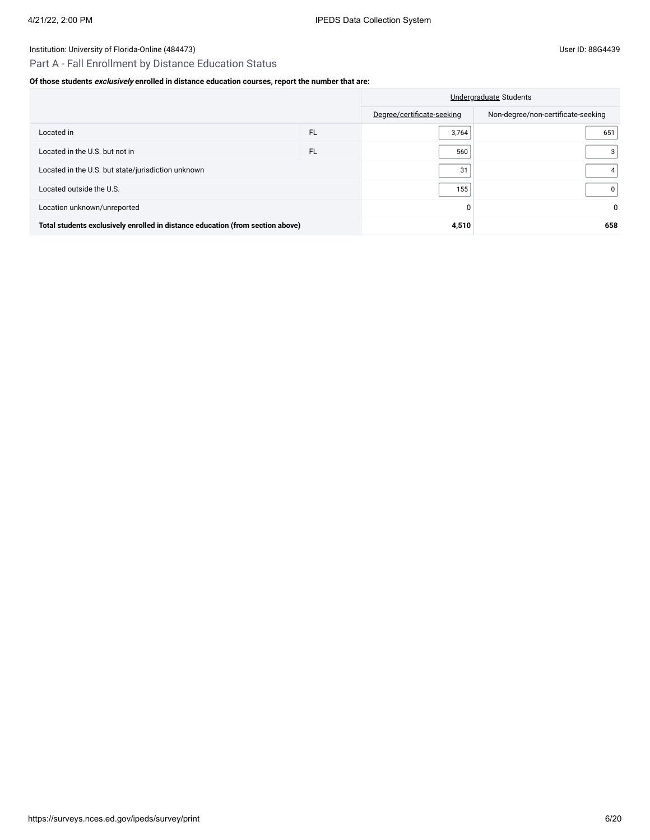### Institution: University of Florida-Online (484473) Channel Assembly Diserved and Assembly Diserved and Assembly Diserved and Assembly Diserved and Assembly Diserved and Assembly Diserved and Assembly Diserved and Assembly

# Part A - Fall Enrollment by Distance Education Status

### **Of those students exclusively enrolled in distance education courses, report the number that are:**

|                                                                                | Undergraduate Students |                            |                                    |
|--------------------------------------------------------------------------------|------------------------|----------------------------|------------------------------------|
|                                                                                |                        | Degree/certificate-seeking | Non-degree/non-certificate-seeking |
| Located in                                                                     | <b>FL</b>              | 3,764                      | 651                                |
| Located in the U.S. but not in                                                 | <b>FL</b>              | 560                        | 3                                  |
| Located in the U.S. but state/jurisdiction unknown                             | 31                     |                            |                                    |
| Located outside the U.S.                                                       | 155                    | 0                          |                                    |
| Location unknown/unreported                                                    |                        |                            |                                    |
| Total students exclusively enrolled in distance education (from section above) | 4,510                  | 658                        |                                    |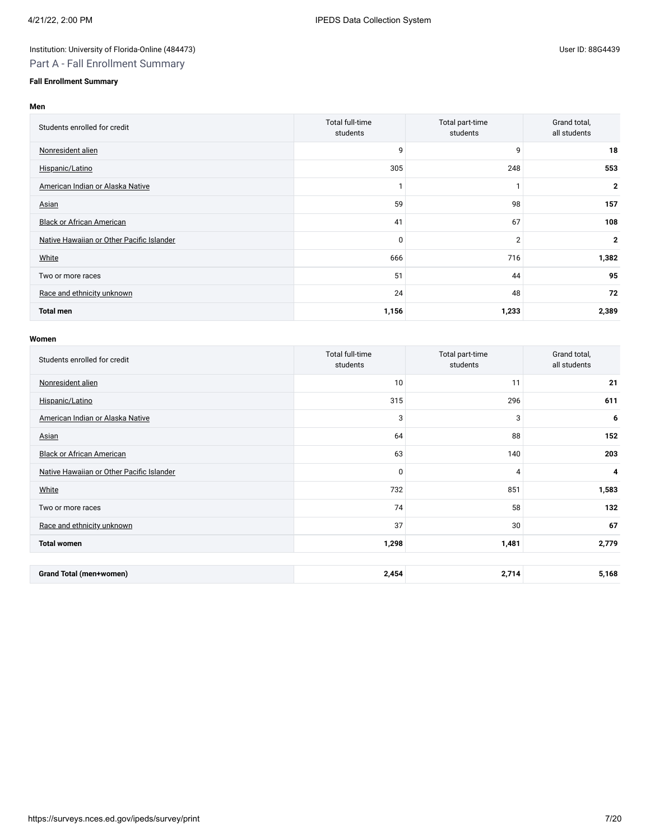# Institution: University of Florida-Online (484473) Channel Assembly District in the User ID: 88G4439

# Part A - Fall Enrollment Summary

# **Fall Enrollment Summary**

### **Men**

| Students enrolled for credit              | Total full-time<br>students | Total part-time<br>students | Grand total,<br>all students |
|-------------------------------------------|-----------------------------|-----------------------------|------------------------------|
| Nonresident alien                         | 9                           | 9                           | 18                           |
| Hispanic/Latino                           | 305                         | 248                         | 553                          |
| American Indian or Alaska Native          |                             |                             | $\mathbf{2}$                 |
| Asian                                     | 59                          | 98                          | 157                          |
| <b>Black or African American</b>          | 41                          | 67                          | 108                          |
| Native Hawaiian or Other Pacific Islander | $\mathbf 0$                 | $\overline{2}$              | $\mathbf{2}$                 |
| White                                     | 666                         | 716                         | 1,382                        |
| Two or more races                         | 51                          | 44                          | 95                           |
| Race and ethnicity unknown                | 24                          | 48                          | 72                           |
| <b>Total men</b>                          | 1,156                       | 1,233                       | 2,389                        |

#### **Women**

| Students enrolled for credit              | Total full-time<br>students | Total part-time<br>students | Grand total,<br>all students |
|-------------------------------------------|-----------------------------|-----------------------------|------------------------------|
| Nonresident alien                         | 10                          | 11                          | 21                           |
| Hispanic/Latino                           | 315                         | 296                         | 611                          |
| American Indian or Alaska Native          | 3                           | 3                           | 6                            |
| Asian                                     | 64                          | 88                          | 152                          |
| <b>Black or African American</b>          | 63                          | 140                         | 203                          |
| Native Hawaiian or Other Pacific Islander | $\Omega$                    | 4                           | $\overline{\mathbf{4}}$      |
| White                                     | 732                         | 851                         | 1,583                        |
| Two or more races                         | 74                          | 58                          | 132                          |
| Race and ethnicity unknown                | 37                          | 30                          | 67                           |
| <b>Total women</b>                        | 1,298                       | 1,481                       | 2,779                        |
|                                           |                             |                             |                              |
| <b>Grand Total (men+women)</b>            | 2,454                       | 2,714                       | 5,168                        |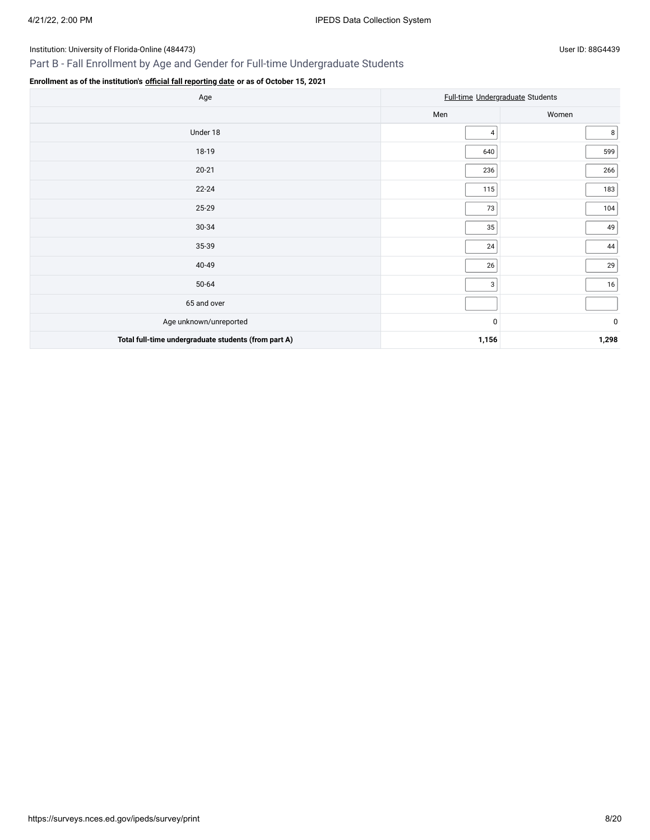# Part B - Fall Enrollment by Age and Gender for Full-time Undergraduate Students

# **Enrollment as of the institution's [official fall reporting date](javascript:openglossary(431)) or as of October 15, 2021**

| Age                                                  | Full-time Undergraduate Students |             |  |
|------------------------------------------------------|----------------------------------|-------------|--|
|                                                      | Men                              | Women       |  |
| Under 18                                             | 4                                | 8           |  |
| 18-19                                                | 640                              | 599         |  |
| $20 - 21$                                            | 236                              | 266         |  |
| $22 - 24$                                            | 115                              | 183         |  |
| 25-29                                                | 73                               | 104         |  |
| 30-34                                                | 35                               | 49          |  |
| 35-39                                                | 24                               | 44          |  |
| 40-49                                                | 26                               | 29          |  |
| 50-64                                                | 3                                | 16          |  |
| 65 and over                                          |                                  |             |  |
| Age unknown/unreported                               | $\mathbf 0$                      | $\mathbf 0$ |  |
| Total full-time undergraduate students (from part A) | 1,156                            | 1,298       |  |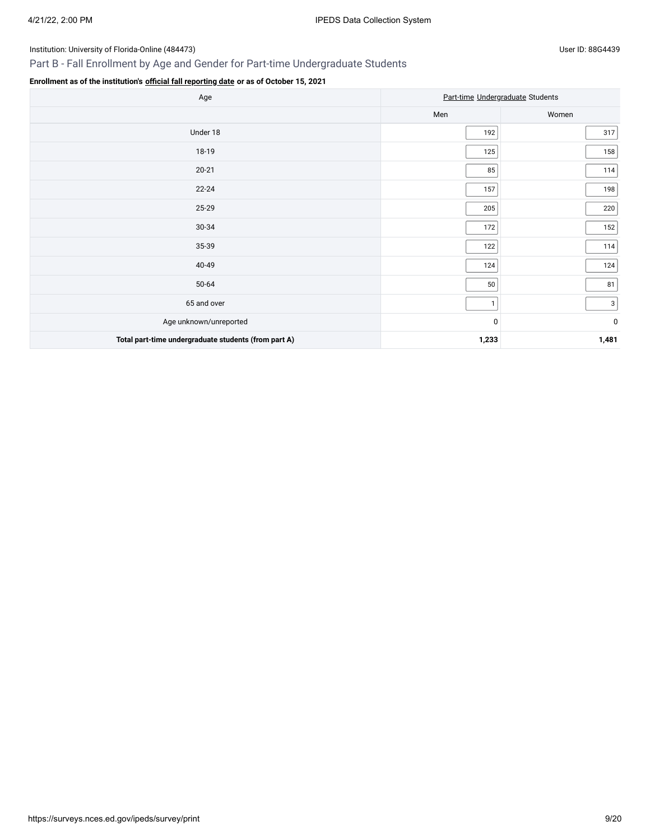# Part B - Fall Enrollment by Age and Gender for Part-time Undergraduate Students

# **Enrollment as of the institution's [official fall reporting date](javascript:openglossary(431)) or as of October 15, 2021**

| Age                                                  | Part-time Undergraduate Students |              |  |
|------------------------------------------------------|----------------------------------|--------------|--|
|                                                      | Men                              | Women        |  |
| Under 18                                             | 192                              | 317          |  |
| 18-19                                                | 125                              | 158          |  |
| $20 - 21$                                            | 85                               | 114          |  |
| $22 - 24$                                            | 157                              | 198          |  |
| 25-29                                                | 205                              | 220          |  |
| 30-34                                                | 172                              | 152          |  |
| 35-39                                                | 122                              | 114          |  |
| 40-49                                                | 124                              | 124          |  |
| $50 - 64$                                            | 50                               | 81           |  |
| 65 and over                                          | $\mathbf{1}$                     | $\mathbf{3}$ |  |
| Age unknown/unreported                               | 0                                | $\pmb{0}$    |  |
| Total part-time undergraduate students (from part A) | 1,233                            | 1,481        |  |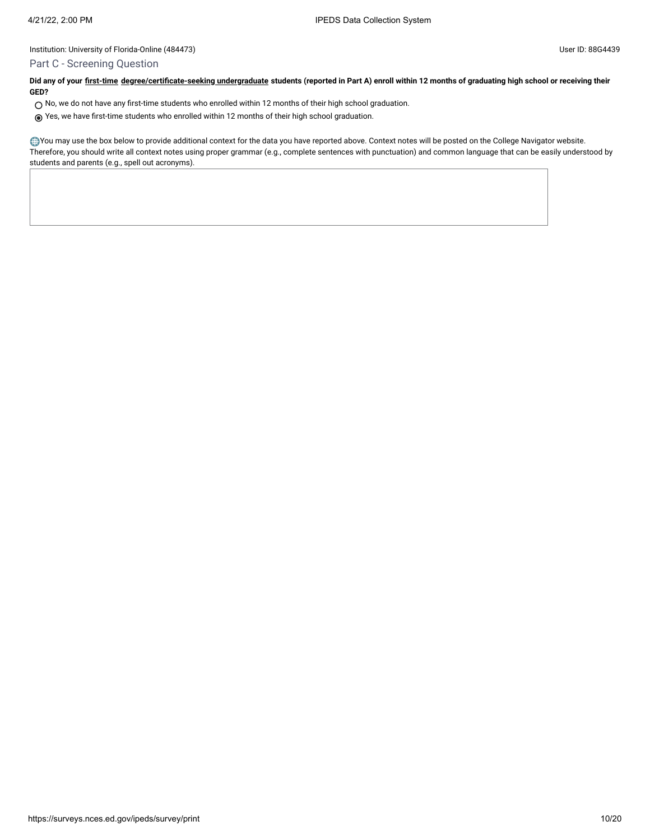### Part C - Screening Question

**Did any of your [first-time](javascript:openglossary(241)) [degree/certificate-seeking undergraduate](javascript:openglossary(171)) students (reported in Part A) enroll within 12 months of graduating high school or receiving their GED?**

- $\bigcirc$  No, we do not have any first-time students who enrolled within 12 months of their high school graduation.
- Yes, we have first-time students who enrolled within 12 months of their high school graduation.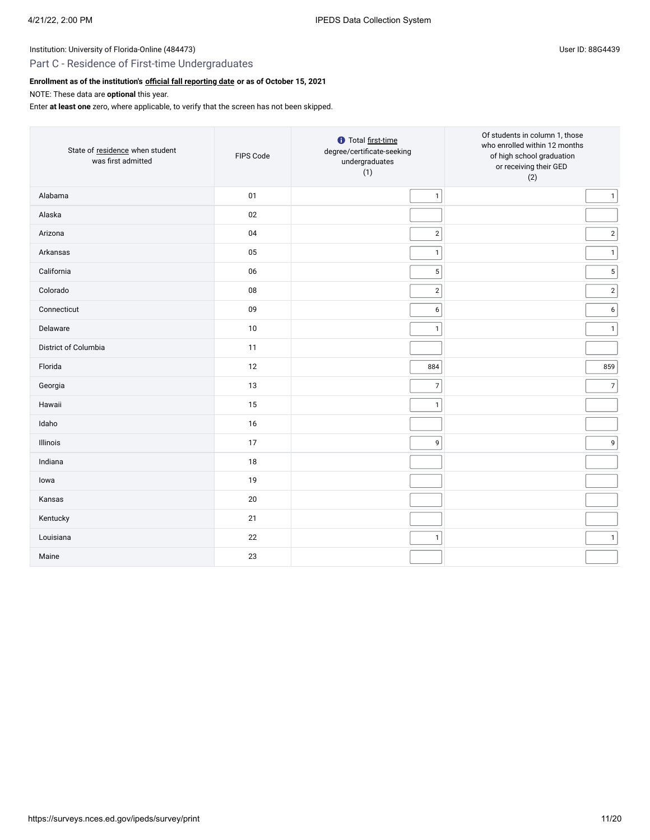# Part C - Residence of First-time Undergraduates

# **Enrollment as of the institution's [official fall reporting date](javascript:openglossary(431)) or as of October 15, 2021**

NOTE: These data are **optional** this year.

Enter **at least one** zero, where applicable, to verify that the screen has not been skipped.

| State of residence when student<br>was first admitted | FIPS Code | <b>O</b> Total first-time<br>degree/certificate-seeking<br>undergraduates<br>(1) | Of students in column 1, those<br>who enrolled within 12 months<br>of high school graduation<br>or receiving their GED<br>(2) |
|-------------------------------------------------------|-----------|----------------------------------------------------------------------------------|-------------------------------------------------------------------------------------------------------------------------------|
| Alabama                                               | 01        | $\mathbf{1}$                                                                     | $\mathbf{1}$                                                                                                                  |
| Alaska                                                | 02        |                                                                                  |                                                                                                                               |
| Arizona                                               | 04        | $\sqrt{2}$                                                                       | $\overline{2}$                                                                                                                |
| Arkansas                                              | 05        | $\mathbf{1}$                                                                     | $\mathbf{1}$                                                                                                                  |
| California                                            | 06        | $\overline{5}$                                                                   | $5\phantom{.0}$                                                                                                               |
| Colorado                                              | 08        | $\overline{2}$                                                                   | $\overline{2}$                                                                                                                |
| Connecticut                                           | 09        | 6                                                                                | 6                                                                                                                             |
| Delaware                                              | 10        | $\mathbf{1}$                                                                     | $\overline{1}$                                                                                                                |
| District of Columbia                                  | 11        |                                                                                  |                                                                                                                               |
| Florida                                               | 12        | 884                                                                              | 859                                                                                                                           |
| Georgia                                               | 13        | $\overline{7}$                                                                   | $\overline{7}$                                                                                                                |
| Hawaii                                                | 15        | $\mathbf{1}$                                                                     |                                                                                                                               |
| Idaho                                                 | 16        |                                                                                  |                                                                                                                               |
| Illinois                                              | 17        | 9                                                                                | 9                                                                                                                             |
| Indiana                                               | 18        |                                                                                  |                                                                                                                               |
| lowa                                                  | 19        |                                                                                  |                                                                                                                               |
| Kansas                                                | 20        |                                                                                  |                                                                                                                               |
| Kentucky                                              | 21        |                                                                                  |                                                                                                                               |
| Louisiana                                             | 22        | $\mathbf{1}$                                                                     | $\overline{1}$                                                                                                                |
| Maine                                                 | 23        |                                                                                  |                                                                                                                               |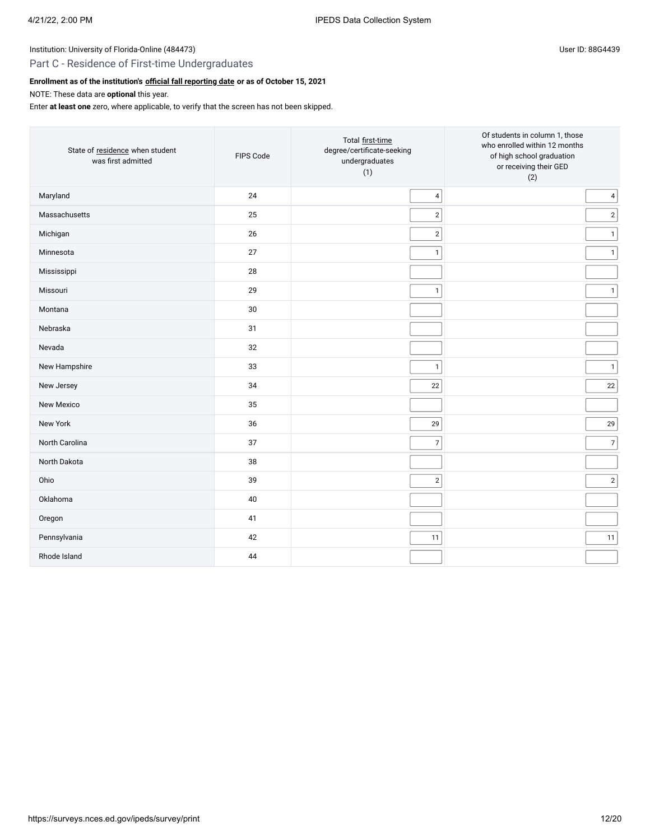# Part C - Residence of First-time Undergraduates

# **Enrollment as of the institution's [official fall reporting date](javascript:openglossary(431)) or as of October 15, 2021**

NOTE: These data are **optional** this year.

Enter **at least one** zero, where applicable, to verify that the screen has not been skipped.

| State of residence when student<br>was first admitted | FIPS Code | Total first-time<br>degree/certificate-seeking<br>undergraduates<br>(1) | Of students in column 1, those<br>who enrolled within 12 months<br>of high school graduation<br>or receiving their GED<br>(2) |
|-------------------------------------------------------|-----------|-------------------------------------------------------------------------|-------------------------------------------------------------------------------------------------------------------------------|
| Maryland                                              | 24        | 4                                                                       | 4                                                                                                                             |
| Massachusetts                                         | 25        | $\mathbf{2}$                                                            | $\overline{2}$                                                                                                                |
| Michigan                                              | 26        | $\sqrt{2}$                                                              | $\overline{1}$                                                                                                                |
| Minnesota                                             | 27        | $\mathbf{1}$                                                            | $\mathbf{1}$                                                                                                                  |
| Mississippi                                           | 28        |                                                                         |                                                                                                                               |
| Missouri                                              | 29        | $\mathbf{1}$                                                            | $\mathbf{1}$                                                                                                                  |
| Montana                                               | 30        |                                                                         |                                                                                                                               |
| Nebraska                                              | 31        |                                                                         |                                                                                                                               |
| Nevada                                                | 32        |                                                                         |                                                                                                                               |
| New Hampshire                                         | 33        | $\mathbf{1}$                                                            | $\mathbf{1}$                                                                                                                  |
| New Jersey                                            | 34        | $22\,$                                                                  | 22                                                                                                                            |
| <b>New Mexico</b>                                     | 35        |                                                                         |                                                                                                                               |
| New York                                              | 36        | 29                                                                      | 29                                                                                                                            |
| North Carolina                                        | 37        | $\overline{7}$                                                          | $\overline{7}$                                                                                                                |
| North Dakota                                          | 38        |                                                                         |                                                                                                                               |
| Ohio                                                  | 39        | $\sqrt{2}$                                                              | $\overline{2}$                                                                                                                |
| Oklahoma                                              | 40        |                                                                         |                                                                                                                               |
| Oregon                                                | 41        |                                                                         |                                                                                                                               |
| Pennsylvania                                          | 42        | 11                                                                      | 11                                                                                                                            |
| Rhode Island                                          | 44        |                                                                         |                                                                                                                               |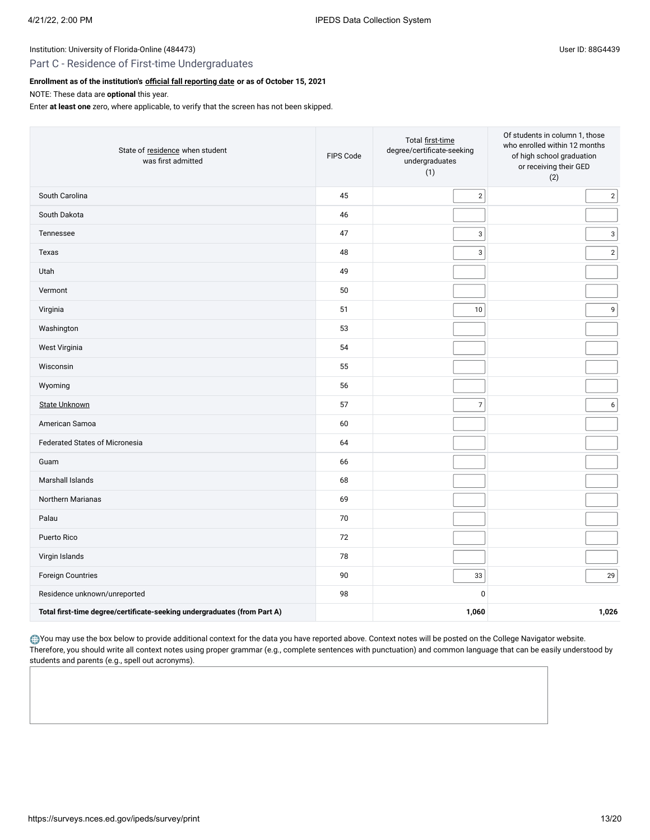### Part C - Residence of First-time Undergraduates

### **Enrollment as of the institution's [official fall reporting date](javascript:openglossary(431)) or as of October 15, 2021**

NOTE: These data are **optional** this year.

Enter **at least one** zero, where applicable, to verify that the screen has not been skipped.

| State of residence when student<br>was first admitted                    | Total first-time<br>degree/certificate-seeking<br>FIPS Code<br>undergraduates<br>(1) |                           | Of students in column 1, those<br>who enrolled within 12 months<br>of high school graduation<br>or receiving their GED<br>(2) |  |
|--------------------------------------------------------------------------|--------------------------------------------------------------------------------------|---------------------------|-------------------------------------------------------------------------------------------------------------------------------|--|
| South Carolina                                                           | 45                                                                                   | $\overline{2}$            | $2 \mid$                                                                                                                      |  |
| South Dakota                                                             | 46                                                                                   |                           |                                                                                                                               |  |
| Tennessee                                                                | 47                                                                                   | 3                         | 3 <sup>1</sup>                                                                                                                |  |
| Texas                                                                    | 48                                                                                   | $\ensuremath{\mathsf{3}}$ | 2                                                                                                                             |  |
| Utah                                                                     | 49                                                                                   |                           |                                                                                                                               |  |
| Vermont                                                                  | 50                                                                                   |                           |                                                                                                                               |  |
| Virginia                                                                 | 51                                                                                   | 10                        | 9 <sup>1</sup>                                                                                                                |  |
| Washington                                                               | 53                                                                                   |                           |                                                                                                                               |  |
| West Virginia                                                            | 54                                                                                   |                           |                                                                                                                               |  |
| Wisconsin                                                                | 55                                                                                   |                           |                                                                                                                               |  |
| Wyoming                                                                  | 56                                                                                   |                           |                                                                                                                               |  |
| <b>State Unknown</b>                                                     | 57                                                                                   | $\overline{7}$            | 6                                                                                                                             |  |
| American Samoa                                                           | 60                                                                                   |                           |                                                                                                                               |  |
| <b>Federated States of Micronesia</b>                                    | 64                                                                                   |                           |                                                                                                                               |  |
| Guam                                                                     | 66                                                                                   |                           |                                                                                                                               |  |
| Marshall Islands                                                         | 68                                                                                   |                           |                                                                                                                               |  |
| Northern Marianas                                                        | 69                                                                                   |                           |                                                                                                                               |  |
| Palau                                                                    | 70                                                                                   |                           |                                                                                                                               |  |
| Puerto Rico                                                              | 72                                                                                   |                           |                                                                                                                               |  |
| Virgin Islands                                                           | 78                                                                                   |                           |                                                                                                                               |  |
| Foreign Countries                                                        | 90                                                                                   | 33                        | 29                                                                                                                            |  |
| Residence unknown/unreported                                             | 98                                                                                   | $\mathbf 0$               |                                                                                                                               |  |
| Total first-time degree/certificate-seeking undergraduates (from Part A) |                                                                                      | 1,060                     | 1,026                                                                                                                         |  |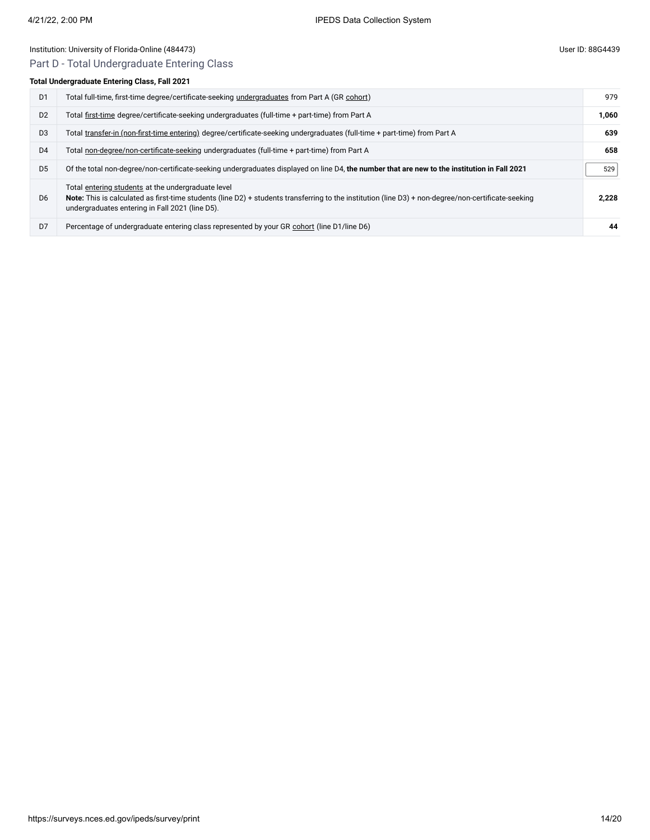# Institution: University of Florida-Online (484473) Channel Assembly Channel Assembly Channel Assembly Channel Assembly Channel Assembly Channel Assembly Channel Assembly Channel Assembly Channel Assembly Channel Assembly C Part D - Total Undergraduate Entering Class

# **Total Undergraduate Entering Class, Fall 2021**

| D <sub>1</sub> | Total full-time, first-time degree/certificate-seeking undergraduates from Part A (GR cohort)                                                                                                                                                                | 979   |
|----------------|--------------------------------------------------------------------------------------------------------------------------------------------------------------------------------------------------------------------------------------------------------------|-------|
| D <sub>2</sub> | Total first-time degree/certificate-seeking undergraduates (full-time + part-time) from Part A                                                                                                                                                               | 1.060 |
| D <sub>3</sub> | Total transfer-in (non-first-time entering) degree/certificate-seeking undergraduates (full-time + part-time) from Part A                                                                                                                                    | 639   |
| D <sub>4</sub> | Total non-degree/non-certificate-seeking undergraduates (full-time + part-time) from Part A                                                                                                                                                                  | 658   |
| D <sub>5</sub> | Of the total non-degree/non-certificate-seeking undergraduates displayed on line D4, the number that are new to the institution in Fall 2021                                                                                                                 | 529   |
| D <sub>6</sub> | Total entering students at the undergraduate level<br>Note: This is calculated as first-time students (line D2) + students transferring to the institution (line D3) + non-degree/non-certificate-seeking<br>undergraduates entering in Fall 2021 (line D5). | 2.228 |
| D7             | Percentage of undergraduate entering class represented by your GR cohort (line D1/line D6)                                                                                                                                                                   | 44    |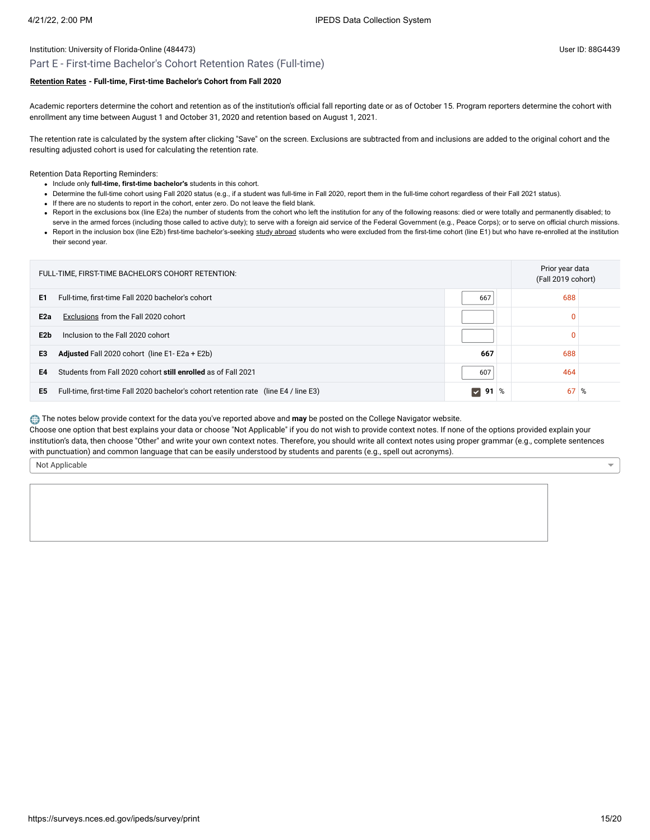### Part E - First-time Bachelor's Cohort Retention Rates (Full-time)

### **[Retention Rates](javascript:openglossary(772)) - Full-time, First-time Bachelor's Cohort from Fall 2020**

Academic reporters determine the cohort and retention as of the institution's official fall reporting date or as of October 15. Program reporters determine the cohort with enrollment any time between August 1 and October 31, 2020 and retention based on August 1, 2021.

The retention rate is calculated by the system after clicking "Save" on the screen. Exclusions are subtracted from and inclusions are added to the original cohort and the resulting adjusted cohort is used for calculating the retention rate.

Retention Data Reporting Reminders:

- Include only **full-time, first-time bachelor's** students in this cohort.
- Determine the full-time cohort using Fall 2020 status (e.g., if a student was full-time in Fall 2020, report them in the full-time cohort regardless of their Fall 2021 status).
- If there are no students to report in the cohort, enter zero. Do not leave the field blank.
- . Report in the exclusions box (line E2a) the number of students from the cohort who left the institution for any of the following reasons: died or were totally and permanently disabled; to serve in the armed forces (including those called to active duty); to serve with a foreign aid service of the Federal Government (e.g., Peace Corps); or to serve on official church missions.
- Report in the inclusion box (line E2b) first-time bachelor's-seeking [study abroad](javascript:openglossary(714)) students who were excluded from the first-time cohort (line E1) but who have re-enrolled at the institution their second year.

| FULL-TIME, FIRST-TIME BACHELOR'S COHORT RETENTION:                                         |                      |             | Prior year data<br>(Fall 2019 cohort) |  |
|--------------------------------------------------------------------------------------------|----------------------|-------------|---------------------------------------|--|
| E1<br>Full-time, first-time Fall 2020 bachelor's cohort                                    | 667                  | 688         |                                       |  |
| Exclusions from the Fall 2020 cohort<br>E <sub>2a</sub>                                    |                      | 0           |                                       |  |
| Inclusion to the Fall 2020 cohort<br>E2b                                                   |                      | 0           |                                       |  |
| Adjusted Fall 2020 cohort (line E1-E2a + E2b)<br>E3                                        | 667                  | 688         |                                       |  |
| Students from Fall 2020 cohort still enrolled as of Fall 2021<br>E4                        | 607                  | 464         |                                       |  |
| Full-time, first-time Fall 2020 bachelor's cohort retention rate (line E4 / line E3)<br>E5 | 91<br>$ \mathbf{v} $ | $67\%$<br>% |                                       |  |

The notes below provide context for the data you've reported above and may be posted on the College Navigator website.

Choose one option that best explains your data or choose "Not Applicable" if you do not wish to provide context notes. If none of the options provided explain your institution's data, then choose "Other" and write your own context notes. Therefore, you should write all context notes using proper grammar (e.g., complete sentences with punctuation) and common language that can be easily understood by students and parents (e.g., spell out acronyms).

Not Applicable

 $\overline{\phantom{0}}$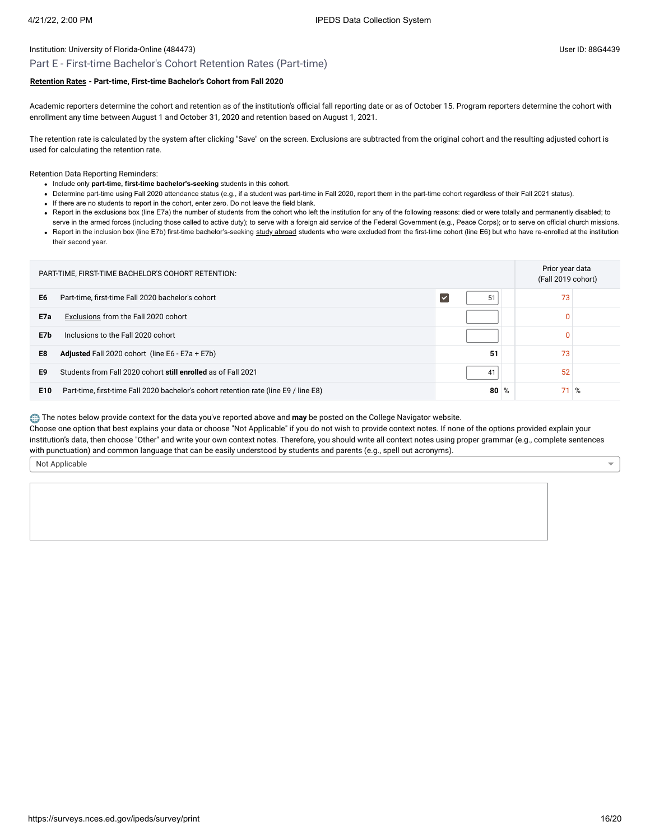### Part E - First-time Bachelor's Cohort Retention Rates (Part-time)

### **[Retention Rates](javascript:openglossary(772)) - Part-time, First-time Bachelor's Cohort from Fall 2020**

Academic reporters determine the cohort and retention as of the institution's official fall reporting date or as of October 15. Program reporters determine the cohort with enrollment any time between August 1 and October 31, 2020 and retention based on August 1, 2021.

The retention rate is calculated by the system after clicking "Save" on the screen. Exclusions are subtracted from the original cohort and the resulting adjusted cohort is used for calculating the retention rate.

Retention Data Reporting Reminders:

- Include only **part-time, first-time bachelor's-seeking** students in this cohort.
- Determine part-time using Fall 2020 attendance status (e.g., if a student was part-time in Fall 2020, report them in the part-time cohort regardless of their Fall 2021 status).
- If there are no students to report in the cohort, enter zero. Do not leave the field blank.
- . Report in the exclusions box (line E7a) the number of students from the cohort who left the institution for any of the following reasons: died or were totally and permanently disabled; to
- serve in the armed forces (including those called to active duty); to serve with a foreign aid service of the Federal Government (e.g., Peace Corps); or to serve on official church missions. . Report in the inclusion box (line E7b) first-time bachelor's-seeking [study abroad](javascript:openglossary(714)) students who were excluded from the first-time cohort (line E6) but who have re-enrolled at the institution their second year.

| PART-TIME, FIRST-TIME BACHELOR'S COHORT RETENTION: |                                                                                      |                            |  | Prior year data<br>(Fall 2019 cohort) |   |
|----------------------------------------------------|--------------------------------------------------------------------------------------|----------------------------|--|---------------------------------------|---|
| E <sub>6</sub>                                     | Part-time, first-time Fall 2020 bachelor's cohort                                    | 51<br>$\blacktriangledown$ |  | 73                                    |   |
| E7a                                                | Exclusions from the Fall 2020 cohort                                                 |                            |  | $\mathbf{0}$                          |   |
| E7b                                                | Inclusions to the Fall 2020 cohort                                                   |                            |  | $\mathbf{0}$                          |   |
| E8                                                 | <b>Adjusted</b> Fall 2020 cohort (line E6 - E7a + E7b)                               | 51                         |  | 73                                    |   |
| E9                                                 | Students from Fall 2020 cohort still enrolled as of Fall 2021                        | 41                         |  | 52                                    |   |
| E <sub>10</sub>                                    | Part-time, first-time Fall 2020 bachelor's cohort retention rate (line E9 / line E8) | $80\%$                     |  | 71                                    | % |

The notes below provide context for the data you've reported above and **may** be posted on the College Navigator website.

Choose one option that best explains your data or choose "Not Applicable" if you do not wish to provide context notes. If none of the options provided explain your institution's data, then choose "Other" and write your own context notes. Therefore, you should write all context notes using proper grammar (e.g., complete sentences with punctuation) and common language that can be easily understood by students and parents (e.g., spell out acronyms).

Not Applicable

 $\overline{\phantom{0}}$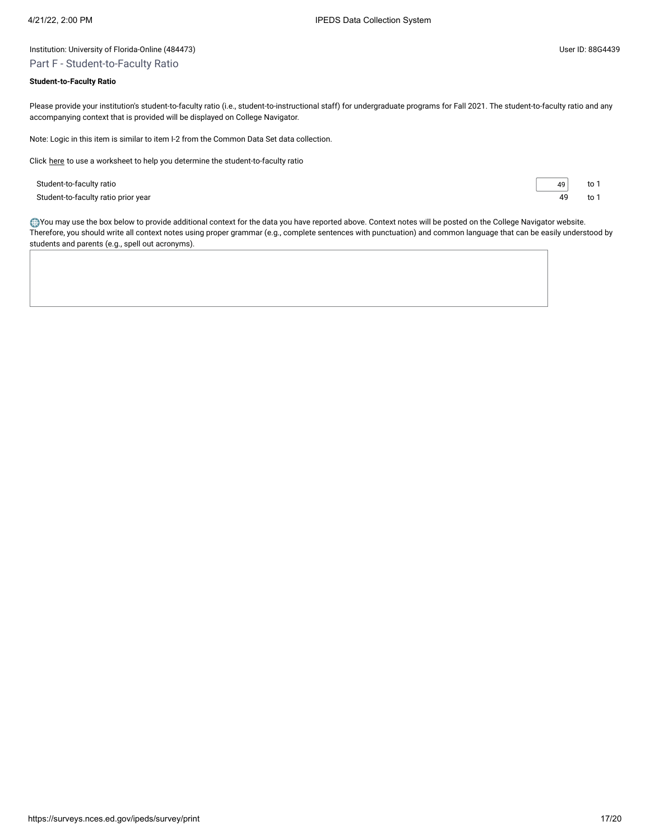# Part F - Student-to-Faculty Ratio

### **Student-to-Faculty Ratio**

Please provide your institution's student-to-faculty ratio (i.e., student-to-instructional staff) for undergraduate programs for Fall 2021. The student-to-faculty ratio and any accompanying context that is provided will be displayed on College Navigator.

Note: Logic in this item is similar to item I-2 from the Common Data Set data collection.

Click [here](javascript:openEFworksheet(2)) to use a worksheet to help you determine the student-to-faculty ratio

Student-to-faculty ratio 49 to 1 Student-to-faculty ratio prior year to 1 and the student-to-faculty ratio prior year to 1 and to 1 and to 1 and to 1 and to 1 and to 1 and to 1 and to 1 and to 1 and to 1 and to 1 and to 1 and to 1 and to 1 and to 1 and to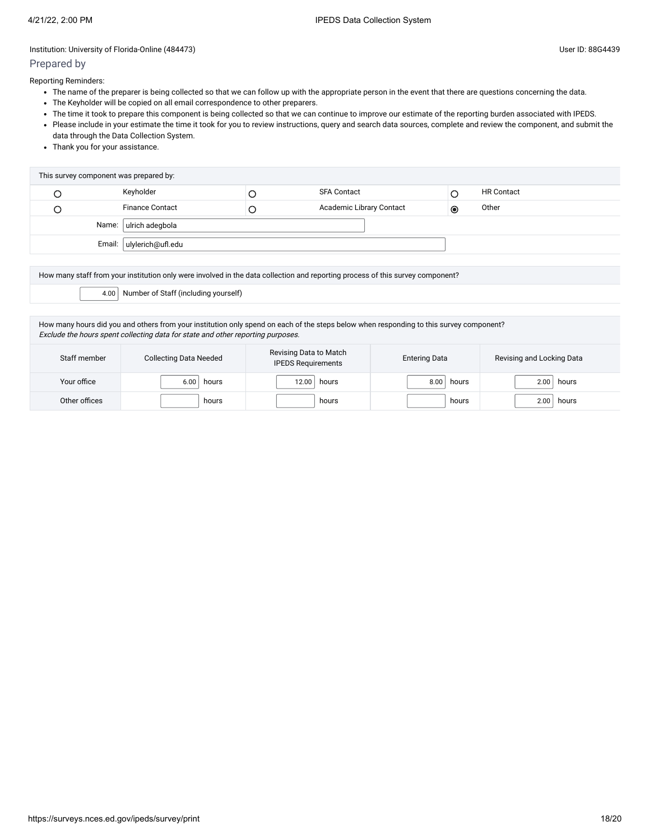# Prepared by

Reporting Reminders:

- The name of the preparer is being collected so that we can follow up with the appropriate person in the event that there are questions concerning the data.
- The Keyholder will be copied on all email correspondence to other preparers.
- The time it took to prepare this component is being collected so that we can continue to improve our estimate of the reporting burden associated with IPEDS.
- Please include in your estimate the time it took for you to review instructions, query and search data sources, complete and review the component, and submit the data through the Data Collection System.
- Thank you for your assistance.

| This survey component was prepared by: |  |                          |   |                          |           |                   |
|----------------------------------------|--|--------------------------|---|--------------------------|-----------|-------------------|
|                                        |  | Keyholder                |   | <b>SFA Contact</b>       |           | <b>HR Contact</b> |
|                                        |  | <b>Finance Contact</b>   | ◡ | Academic Library Contact | $\bullet$ | Other             |
|                                        |  | Name: ulrich adegbola    |   |                          |           |                   |
|                                        |  | Email: ulylerich@ufl.edu |   |                          |           |                   |
|                                        |  |                          |   |                          |           |                   |

How many staff from your institution only were involved in the data collection and reporting process of this survey component?

4.00 Number of Staff (including yourself)

How many hours did you and others from your institution only spend on each of the steps below when responding to this survey component? Exclude the hours spent collecting data for state and other reporting purposes.

| Staff member  | <b>Collecting Data Needed</b> | Revising Data to Match<br><b>IPEDS Requirements</b> | <b>Entering Data</b> | Revising and Locking Data |  |
|---------------|-------------------------------|-----------------------------------------------------|----------------------|---------------------------|--|
| Your office   | 6.00<br>hours                 | 12.00<br>hours                                      | 8.00<br>hours        | 2.00<br>hours             |  |
| Other offices | hours                         | hours                                               | hours                | 2.00<br>hours             |  |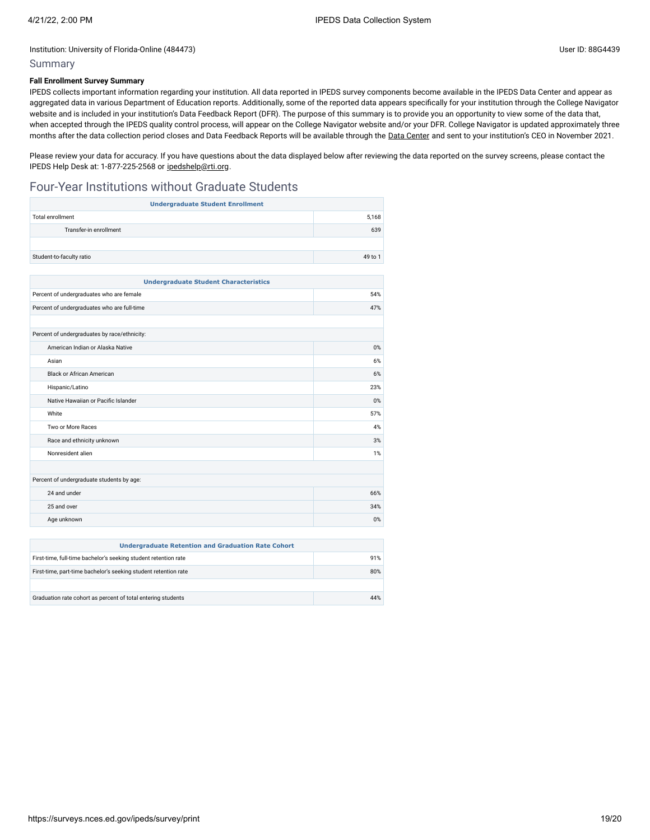### Summary

## **Fall Enrollment Survey Summary**

IPEDS collects important information regarding your institution. All data reported in IPEDS survey components become available in the IPEDS Data Center and appear as aggregated data in various Department of Education reports. Additionally, some of the reported data appears specifically for your institution through the College Navigator website and is included in your institution's Data Feedback Report (DFR). The purpose of this summary is to provide you an opportunity to view some of the data that, when accepted through the IPEDS quality control process, will appear on the College Navigator website and/or your DFR. College Navigator is updated approximately three months after the data collection period closes and Data Feedback Reports will be available through the Data [Center](https://nces.ed.gov/ipeds/use-the-data) and sent to your institution's CEO in November 2021.

Please review your data for accuracy. If you have questions about the data displayed below after reviewing the data reported on the survey screens, please contact the IPEDS Help Desk at: 1-877-225-2568 or [ipedshelp@rti.org.](mailto:ipedshelp@rti.org)

# Four-Year Institutions without Graduate Students

| <b>Undergraduate Student Enrollment</b>      |         |  |  |
|----------------------------------------------|---------|--|--|
| <b>Total enrollment</b>                      | 5.168   |  |  |
| Transfer-in enrollment                       | 639     |  |  |
|                                              |         |  |  |
| Student-to-faculty ratio                     | 49 to 1 |  |  |
|                                              |         |  |  |
| <b>Undergraduate Student Characteristics</b> |         |  |  |
| Percent of undergraduates who are female     | 54%     |  |  |
| Percent of undergraduates who are full-time  | 47%     |  |  |
|                                              |         |  |  |
| Percent of undergraduates by race/ethnicity: |         |  |  |
| American Indian or Alaska Native             | 0%      |  |  |
| Asian                                        | 6%      |  |  |
| <b>Black or African American</b>             | 6%      |  |  |
| Hispanic/Latino                              | 23%     |  |  |
| Native Hawaiian or Pacific Islander          | 0%      |  |  |
| White                                        | 57%     |  |  |
| Two or More Races                            | 4%      |  |  |
| Race and ethnicity unknown                   | 3%      |  |  |
| Nonresident alien                            | 1%      |  |  |
|                                              |         |  |  |
| Percent of undergraduate students by age:    |         |  |  |
| 24 and under                                 | 66%     |  |  |
| 25 and over                                  | 34%     |  |  |
| Age unknown                                  | $0\%$   |  |  |
|                                              |         |  |  |

| <b>Undergraduate Retention and Graduation Rate Cohort</b>       |     |  |
|-----------------------------------------------------------------|-----|--|
| First-time, full-time bachelor's seeking student retention rate | 91% |  |
| First-time, part-time bachelor's seeking student retention rate |     |  |
|                                                                 |     |  |
| Graduation rate cohort as percent of total entering students    | 44% |  |